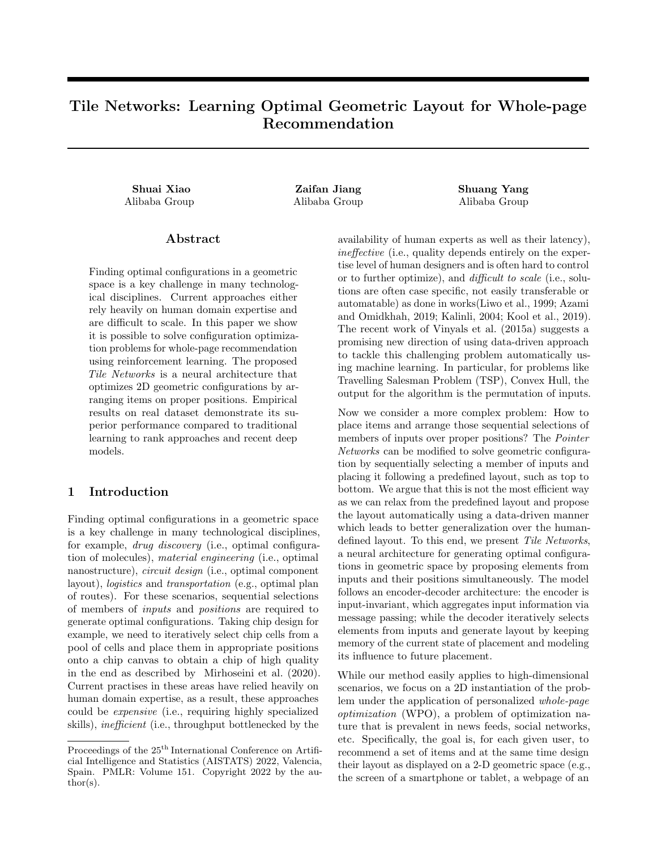# Tile Networks: Learning Optimal Geometric Layout for Whole-page Recommendation

Shuai Xiao Zaifan Jiang Shuang Yang Alibaba Group Alibaba Group Alibaba Group

# Abstract

Finding optimal configurations in a geometric space is a key challenge in many technological disciplines. Current approaches either rely heavily on human domain expertise and are difficult to scale. In this paper we show it is possible to solve configuration optimization problems for whole-page recommendation using reinforcement learning. The proposed Tile Networks is a neural architecture that optimizes 2D geometric configurations by arranging items on proper positions. Empirical results on real dataset demonstrate its superior performance compared to traditional learning to rank approaches and recent deep models.

# 1 Introduction

Finding optimal configurations in a geometric space is a key challenge in many technological disciplines, for example, drug discovery (i.e., optimal configuration of molecules), material engineering (i.e., optimal nanostructure), *circuit design* (i.e., optimal component layout), logistics and transportation (e.g., optimal plan of routes). For these scenarios, sequential selections of members of inputs and positions are required to generate optimal configurations. Taking chip design for example, we need to iteratively select chip cells from a pool of cells and place them in appropriate positions onto a chip canvas to obtain a chip of high quality in the end as described by Mirhoseini et al. (2020). Current practises in these areas have relied heavily on human domain expertise, as a result, these approaches could be expensive (i.e., requiring highly specialized skills), inefficient (i.e., throughput bottlenecked by the availability of human experts as well as their latency), ineffective (i.e., quality depends entirely on the expertise level of human designers and is often hard to control or to further optimize), and difficult to scale (i.e., solutions are often case specific, not easily transferable or automatable) as done in works(Liwo et al., 1999; Azami and Omidkhah, 2019; Kalinli, 2004; Kool et al., 2019). The recent work of Vinyals et al. (2015a) suggests a promising new direction of using data-driven approach to tackle this challenging problem automatically using machine learning. In particular, for problems like Travelling Salesman Problem (TSP), Convex Hull, the output for the algorithm is the permutation of inputs.

Now we consider a more complex problem: How to place items and arrange those sequential selections of members of inputs over proper positions? The *Pointer* Networks can be modified to solve geometric configuration by sequentially selecting a member of inputs and placing it following a predefined layout, such as top to bottom. We argue that this is not the most efficient way as we can relax from the predefined layout and propose the layout automatically using a data-driven manner which leads to better generalization over the humandefined layout. To this end, we present Tile Networks, a neural architecture for generating optimal configurations in geometric space by proposing elements from inputs and their positions simultaneously. The model follows an encoder-decoder architecture: the encoder is input-invariant, which aggregates input information via message passing; while the decoder iteratively selects elements from inputs and generate layout by keeping memory of the current state of placement and modeling its influence to future placement.

While our method easily applies to high-dimensional scenarios, we focus on a 2D instantiation of the problem under the application of personalized whole-page optimization (WPO), a problem of optimization nature that is prevalent in news feeds, social networks, etc. Specifically, the goal is, for each given user, to recommend a set of items and at the same time design their layout as displayed on a 2-D geometric space (e.g., the screen of a smartphone or tablet, a webpage of an

Proceedings of the  $25^{\text{th}}$  International Conference on Artificial Intelligence and Statistics (AISTATS) 2022, Valencia, Spain. PMLR: Volume 151. Copyright 2022 by the au- $\text{thor}(s)$ .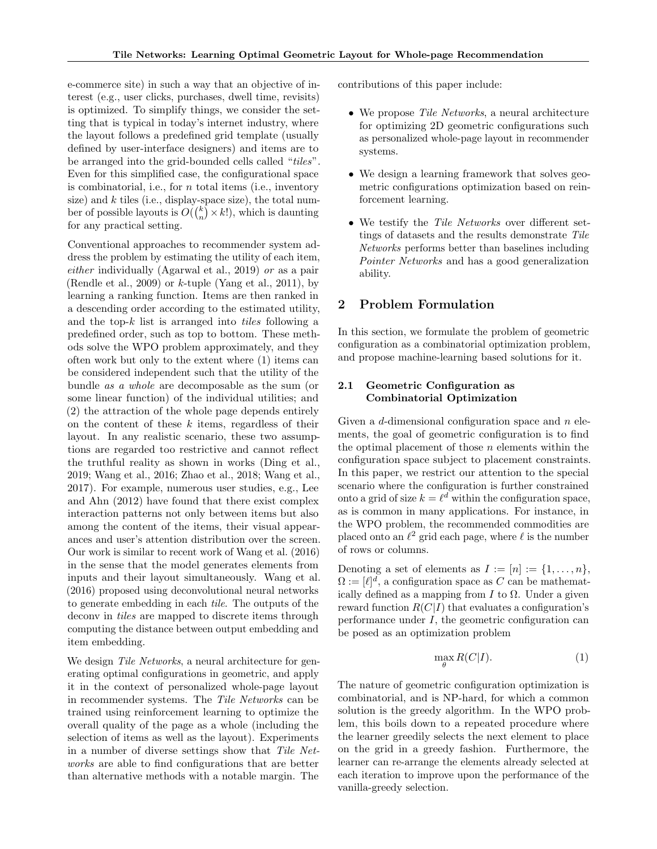e-commerce site) in such a way that an objective of interest (e.g., user clicks, purchases, dwell time, revisits) is optimized. To simplify things, we consider the setting that is typical in today's internet industry, where the layout follows a predefined grid template (usually defined by user-interface designers) and items are to be arranged into the grid-bounded cells called "tiles". Even for this simplified case, the configurational space is combinatorial, i.e., for  $n$  total items (i.e., inventory size) and  $k$  tiles (i.e., display-space size), the total number of possible layouts is  $O({k \choose n} \times k!)$ , which is daunting for any practical setting.

Conventional approaches to recommender system address the problem by estimating the utility of each item, either individually (Agarwal et al., 2019) or as a pair (Rendle et al., 2009) or  $k$ -tuple (Yang et al., 2011), by learning a ranking function. Items are then ranked in a descending order according to the estimated utility, and the top-k list is arranged into tiles following a predefined order, such as top to bottom. These methods solve the WPO problem approximately, and they often work but only to the extent where (1) items can be considered independent such that the utility of the bundle as a whole are decomposable as the sum (or some linear function) of the individual utilities; and (2) the attraction of the whole page depends entirely on the content of these  $k$  items, regardless of their layout. In any realistic scenario, these two assumptions are regarded too restrictive and cannot reflect the truthful reality as shown in works (Ding et al., 2019; Wang et al., 2016; Zhao et al., 2018; Wang et al., 2017). For example, numerous user studies, e.g., Lee and Ahn (2012) have found that there exist complex interaction patterns not only between items but also among the content of the items, their visual appearances and user's attention distribution over the screen. Our work is similar to recent work of Wang et al. (2016) in the sense that the model generates elements from inputs and their layout simultaneously. Wang et al. (2016) proposed using deconvolutional neural networks to generate embedding in each tile. The outputs of the deconv in tiles are mapped to discrete items through computing the distance between output embedding and item embedding.

We design Tile Networks, a neural architecture for generating optimal configurations in geometric, and apply it in the context of personalized whole-page layout in recommender systems. The Tile Networks can be trained using reinforcement learning to optimize the overall quality of the page as a whole (including the selection of items as well as the layout). Experiments in a number of diverse settings show that Tile Networks are able to find configurations that are better than alternative methods with a notable margin. The

contributions of this paper include:

- We propose Tile Networks, a neural architecture for optimizing 2D geometric configurations such as personalized whole-page layout in recommender systems.
- We design a learning framework that solves geometric configurations optimization based on reinforcement learning.
- We testify the Tile Networks over different settings of datasets and the results demonstrate Tile Networks performs better than baselines including Pointer Networks and has a good generalization ability.

#### 2 Problem Formulation

In this section, we formulate the problem of geometric configuration as a combinatorial optimization problem, and propose machine-learning based solutions for it.

## 2.1 Geometric Configuration as Combinatorial Optimization

Given a  $d$ -dimensional configuration space and  $n$  elements, the goal of geometric configuration is to find the optimal placement of those  $n$  elements within the configuration space subject to placement constraints. In this paper, we restrict our attention to the special scenario where the configuration is further constrained onto a grid of size  $k = \ell^d$  within the configuration space, as is common in many applications. For instance, in the WPO problem, the recommended commodities are placed onto an  $\ell^2$  grid each page, where  $\ell$  is the number of rows or columns.

Denoting a set of elements as  $I := [n] := \{1, \ldots, n\},\$  $\Omega := [\ell]^d$ , a configuration space as C can be mathematically defined as a mapping from I to  $\Omega$ . Under a given reward function  $R(C|I)$  that evaluates a configuration's performance under I, the geometric configuration can be posed as an optimization problem

$$
\max_{\theta} R(C|I). \tag{1}
$$

The nature of geometric configuration optimization is combinatorial, and is NP-hard, for which a common solution is the greedy algorithm. In the WPO problem, this boils down to a repeated procedure where the learner greedily selects the next element to place on the grid in a greedy fashion. Furthermore, the learner can re-arrange the elements already selected at each iteration to improve upon the performance of the vanilla-greedy selection.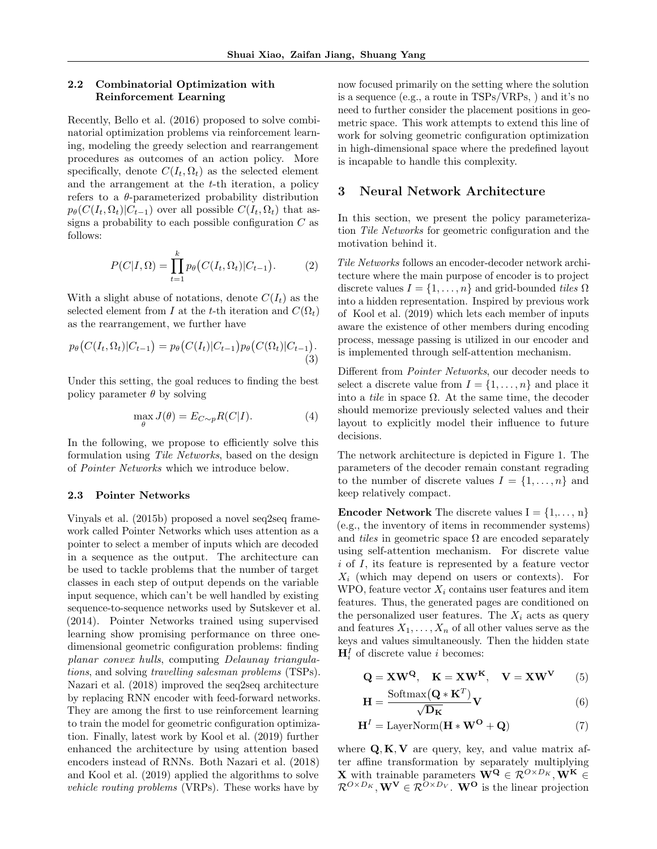## 2.2 Combinatorial Optimization with Reinforcement Learning

Recently, Bello et al. (2016) proposed to solve combinatorial optimization problems via reinforcement learning, modeling the greedy selection and rearrangement procedures as outcomes of an action policy. More specifically, denote  $C(I_t, \Omega_t)$  as the selected element and the arrangement at the t-th iteration, a policy refers to a  $\theta$ -parameterized probability distribution  $p_{\theta}(C(I_t, \Omega_t)|C_{t-1})$  over all possible  $C(I_t, \Omega_t)$  that assigns a probability to each possible configuration  $C$  as follows:

$$
P(C|I,\Omega) = \prod_{t=1}^{k} p_{\theta} (C(I_t,\Omega_t)|C_{t-1}).
$$
 (2)

With a slight abuse of notations, denote  $C(I_t)$  as the selected element from I at the t-th iteration and  $C(\Omega_t)$ as the rearrangement, we further have

$$
p_{\theta}\big(C(I_t, \Omega_t)|C_{t-1}\big) = p_{\theta}\big(C(I_t)|C_{t-1}\big)p_{\theta}\big(C(\Omega_t)|C_{t-1}\big). \tag{3}
$$

Under this setting, the goal reduces to finding the best policy parameter  $\theta$  by solving

$$
\max_{\theta} J(\theta) = E_{C \sim p} R(C|I). \tag{4}
$$

In the following, we propose to efficiently solve this formulation using Tile Networks, based on the design of Pointer Networks which we introduce below.

#### 2.3 Pointer Networks

Vinyals et al. (2015b) proposed a novel seq2seq framework called Pointer Networks which uses attention as a pointer to select a member of inputs which are decoded in a sequence as the output. The architecture can be used to tackle problems that the number of target classes in each step of output depends on the variable input sequence, which can't be well handled by existing sequence-to-sequence networks used by Sutskever et al. (2014). Pointer Networks trained using supervised learning show promising performance on three onedimensional geometric configuration problems: finding planar convex hulls, computing Delaunay triangulations, and solving travelling salesman problems (TSPs). Nazari et al. (2018) improved the seq2seq architecture by replacing RNN encoder with feed-forward networks. They are among the first to use reinforcement learning to train the model for geometric configuration optimization. Finally, latest work by Kool et al. (2019) further enhanced the architecture by using attention based encoders instead of RNNs. Both Nazari et al. (2018) and Kool et al. (2019) applied the algorithms to solve vehicle routing problems (VRPs). These works have by now focused primarily on the setting where the solution is a sequence (e.g., a route in TSPs/VRPs, ) and it's no need to further consider the placement positions in geometric space. This work attempts to extend this line of work for solving geometric configuration optimization in high-dimensional space where the predefined layout is incapable to handle this complexity.

# 3 Neural Network Architecture

In this section, we present the policy parameterization Tile Networks for geometric configuration and the motivation behind it.

Tile Networks follows an encoder-decoder network architecture where the main purpose of encoder is to project discrete values  $I = \{1, \ldots, n\}$  and grid-bounded tiles  $\Omega$ into a hidden representation. Inspired by previous work of Kool et al. (2019) which lets each member of inputs aware the existence of other members during encoding process, message passing is utilized in our encoder and is implemented through self-attention mechanism.

Different from Pointer Networks, our decoder needs to select a discrete value from  $I = \{1, \ldots, n\}$  and place it into a *tile* in space  $\Omega$ . At the same time, the decoder should memorize previously selected values and their layout to explicitly model their influence to future decisions.

The network architecture is depicted in Figure 1. The parameters of the decoder remain constant regrading to the number of discrete values  $I = \{1, \ldots, n\}$  and keep relatively compact.

**Encoder Network** The discrete values  $I = \{1, \ldots, n\}$ (e.g., the inventory of items in recommender systems) and tiles in geometric space  $\Omega$  are encoded separately using self-attention mechanism. For discrete value i of I, its feature is represented by a feature vector  $X_i$  (which may depend on users or contexts). For WPO, feature vector  $X_i$  contains user features and item features. Thus, the generated pages are conditioned on the personalized user features. The  $X_i$  acts as query and features  $X_1, \ldots, X_n$  of all other values serve as the keys and values simultaneously. Then the hidden state  $\mathbf{H}_{i}^{I}$  of discrete value *i* becomes:

$$
\mathbf{Q} = \mathbf{X}\mathbf{W}^{\mathbf{Q}}, \quad \mathbf{K} = \mathbf{X}\mathbf{W}^{\mathbf{K}}, \quad \mathbf{V} = \mathbf{X}\mathbf{W}^{\mathbf{V}} \tag{5}
$$

$$
\mathbf{H} = \frac{\text{Softmax}(\mathbf{Q} * \mathbf{K}^T)}{\sqrt{\mathbf{D}_{\mathbf{K}}}} \mathbf{V}
$$
(6)

$$
\mathbf{H}^{I} = \text{LayerNorm}(\mathbf{H} * \mathbf{W}^{O} + \mathbf{Q})
$$
 (7)

where  $Q, K, V$  are query, key, and value matrix after affine transformation by separately multiplying **X** with trainable parameters  $\mathbf{W^Q} \in \mathcal{R}^{O \times D_K}, \mathbf{W^K} \in$  $\mathcal{R}^{O\times D_K}, \mathbf{W}^{\mathbf{V}} \in \mathcal{R}^{O\times D_V}$ . W<sup>o</sup> is the linear projection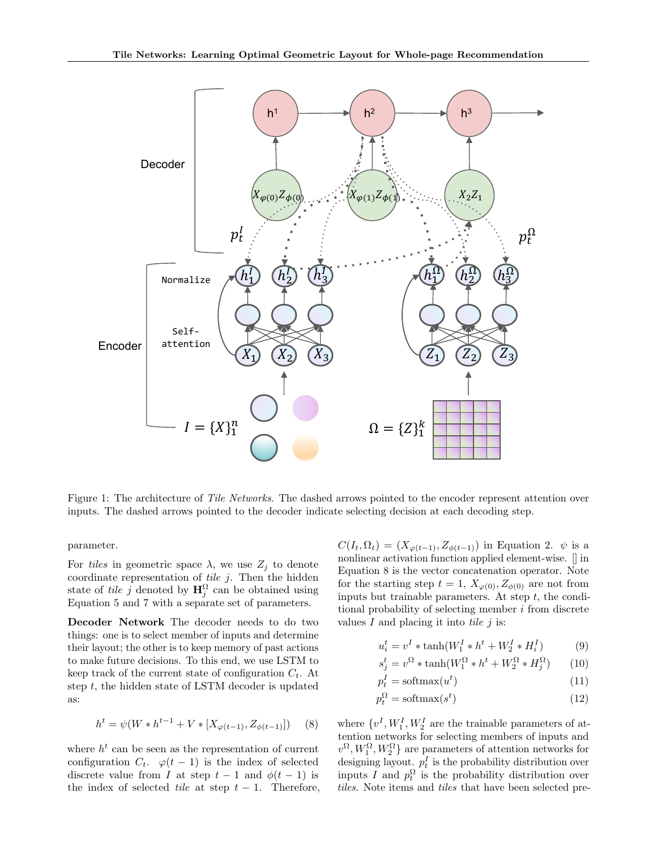

Figure 1: The architecture of Tile Networks. The dashed arrows pointed to the encoder represent attention over inputs. The dashed arrows pointed to the decoder indicate selecting decision at each decoding step.

parameter.

For tiles in geometric space  $\lambda$ , we use  $Z_i$  to denote coordinate representation of  $tile\ j$ . Then the hidden state of *tile* j denoted by  $\mathbf{H}_{j}^{\Omega}$  can be obtained using Equation 5 and 7 with a separate set of parameters.

Decoder Network The decoder needs to do two things: one is to select member of inputs and determine their layout; the other is to keep memory of past actions to make future decisions. To this end, we use LSTM to keep track of the current state of configuration  $C_t$ . At step  $t$ , the hidden state of LSTM decoder is updated as:

$$
h^{t} = \psi(W * h^{t-1} + V * [X_{\varphi(t-1)}, Z_{\phi(t-1)}])
$$
 (8)

where  $h^t$  can be seen as the representation of current configuration  $C_t$ .  $\varphi(t-1)$  is the index of selected discrete value from I at step  $t-1$  and  $\phi(t-1)$  is the index of selected *tile* at step  $t - 1$ . Therefore,  $C(I_t, \Omega_t) = (X_{\varphi(t-1)}, Z_{\phi(t-1)})$  in Equation 2.  $\psi$  is a nonlinear activation function applied element-wise. [] in Equation 8 is the vector concatenation operator. Note for the starting step  $t = 1$ ,  $X_{\varphi(0)}$ ,  $Z_{\phi(0)}$  are not from inputs but trainable parameters. At step  $t$ , the conditional probability of selecting member i from discrete values  $I$  and placing it into tile  $i$  is:

$$
u_i^t = v^I * \tanh(W_1^I * h^t + W_2^I * H_i^I)
$$
 (9)

$$
s_j^t = v^{\Omega} * \tanh(W_1^{\Omega} * h^t + W_2^{\Omega} * H_j^{\Omega}) \qquad (10)
$$

$$
p_t^I = \text{softmax}(u^t) \tag{11}
$$

$$
p_t^{\Omega} = \text{softmax}(s^t) \tag{12}
$$

where  $\{v^I, W_1^I, W_2^I\}$  are the trainable parameters of attention networks for selecting members of inputs and  $v^{\Omega}, W_1^{\Omega}, W_2^{\Omega}$  are parameters of attention networks for designing layout.  $p_t^I$  is the probability distribution over inputs I and  $p_t^{\Omega}$  is the probability distribution over tiles. Note items and tiles that have been selected pre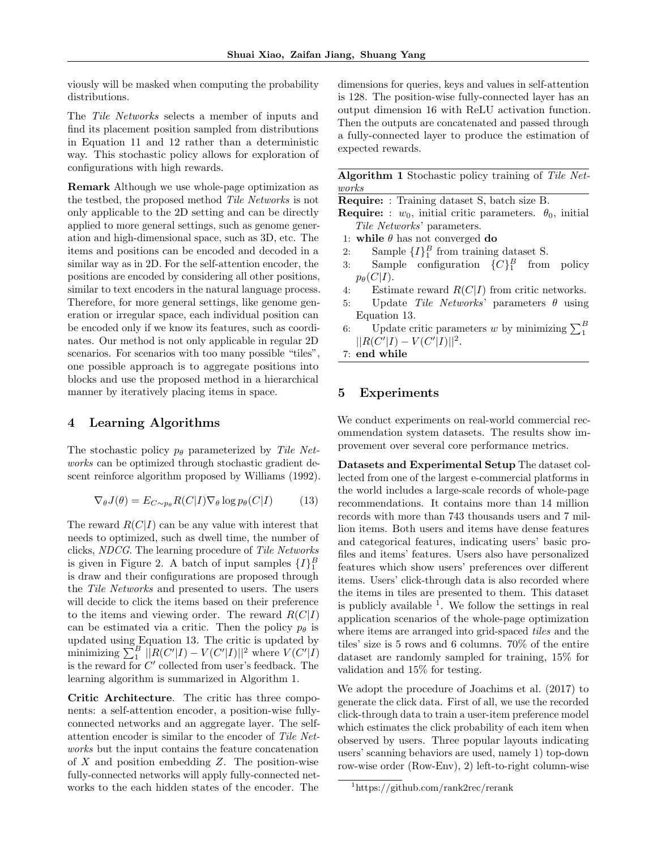viously will be masked when computing the probability distributions.

The Tile Networks selects a member of inputs and find its placement position sampled from distributions in Equation 11 and 12 rather than a deterministic way. This stochastic policy allows for exploration of configurations with high rewards.

Remark Although we use whole-page optimization as the testbed, the proposed method Tile Networks is not only applicable to the 2D setting and can be directly applied to more general settings, such as genome generation and high-dimensional space, such as 3D, etc. The items and positions can be encoded and decoded in a similar way as in 2D. For the self-attention encoder, the positions are encoded by considering all other positions, similar to text encoders in the natural language process. Therefore, for more general settings, like genome generation or irregular space, each individual position can be encoded only if we know its features, such as coordinates. Our method is not only applicable in regular 2D scenarios. For scenarios with too many possible "tiles", one possible approach is to aggregate positions into blocks and use the proposed method in a hierarchical manner by iteratively placing items in space.

## 4 Learning Algorithms

The stochastic policy  $p_{\theta}$  parameterized by Tile Networks can be optimized through stochastic gradient descent reinforce algorithm proposed by Williams (1992).

$$
\nabla_{\theta} J(\theta) = E_{C \sim p_{\theta}} R(C|I) \nabla_{\theta} \log p_{\theta}(C|I) \tag{13}
$$

The reward  $R(C|I)$  can be any value with interest that needs to optimized, such as dwell time, the number of clicks, NDCG. The learning procedure of Tile Networks is given in Figure 2. A batch of input samples  $\{I\}_1^B$ is draw and their configurations are proposed through the Tile Networks and presented to users. The users will decide to click the items based on their preference to the items and viewing order. The reward  $R(C|I)$ can be estimated via a critic. Then the policy  $p_{\theta}$  is updated using Equation 13. The critic is updated by minimizing  $\sum_{1}^{B} ||R(C'||I) - V(C'||I)||^2$  where  $V(C'||I)$ is the reward for  $C'$  collected from user's feedback. The learning algorithm is summarized in Algorithm 1.

Critic Architecture. The critic has three components: a self-attention encoder, a position-wise fullyconnected networks and an aggregate layer. The selfattention encoder is similar to the encoder of Tile Networks but the input contains the feature concatenation of  $X$  and position embedding  $Z$ . The position-wise fully-connected networks will apply fully-connected networks to the each hidden states of the encoder. The dimensions for queries, keys and values in self-attention is 128. The position-wise fully-connected layer has an output dimension 16 with ReLU activation function. Then the outputs are concatenated and passed through a fully-connected layer to produce the estimation of expected rewards.

Algorithm 1 Stochastic policy training of Tile Networks

Require: : Training dataset S, batch size B.

**Require:** :  $w_0$ , initial critic parameters.  $\theta_0$ , initial Tile Networks' parameters.

- 1: while  $\theta$  has not converged do
- 2: Sample  $\{I\}_{1}^{B}$  from training dataset S.
- 3: Sample configuration  $\{C\}_{1}^{B}$  from policy  $p_{\theta}(C|I).$
- 4: Estimate reward  $R(C|I)$  from critic networks.
- 5: Update Tile Networks' parameters  $\theta$  using Equation 13.
- 6: Update critic parameters w by minimizing  $\sum_1^B$  $||R(C'||I) - V(C'||I)||^2.$
- 7: end while

## 5 Experiments

We conduct experiments on real-world commercial recommendation system datasets. The results show improvement over several core performance metrics.

Datasets and Experimental Setup The dataset collected from one of the largest e-commercial platforms in the world includes a large-scale records of whole-page recommendations. It contains more than 14 million records with more than 743 thousands users and 7 million items. Both users and items have dense features and categorical features, indicating users' basic profiles and items' features. Users also have personalized features which show users' preferences over different items. Users' click-through data is also recorded where the items in tiles are presented to them. This dataset is publicly available  $<sup>1</sup>$ . We follow the settings in real</sup> application scenarios of the whole-page optimization where items are arranged into grid-spaced *tiles* and the tiles' size is 5 rows and 6 columns. 70% of the entire dataset are randomly sampled for training, 15% for validation and 15% for testing.

We adopt the procedure of Joachims et al. (2017) to generate the click data. First of all, we use the recorded click-through data to train a user-item preference model which estimates the click probability of each item when observed by users. Three popular layouts indicating users' scanning behaviors are used, namely 1) top-down row-wise order (Row-Env), 2) left-to-right column-wise

<sup>1</sup>https://github.com/rank2rec/rerank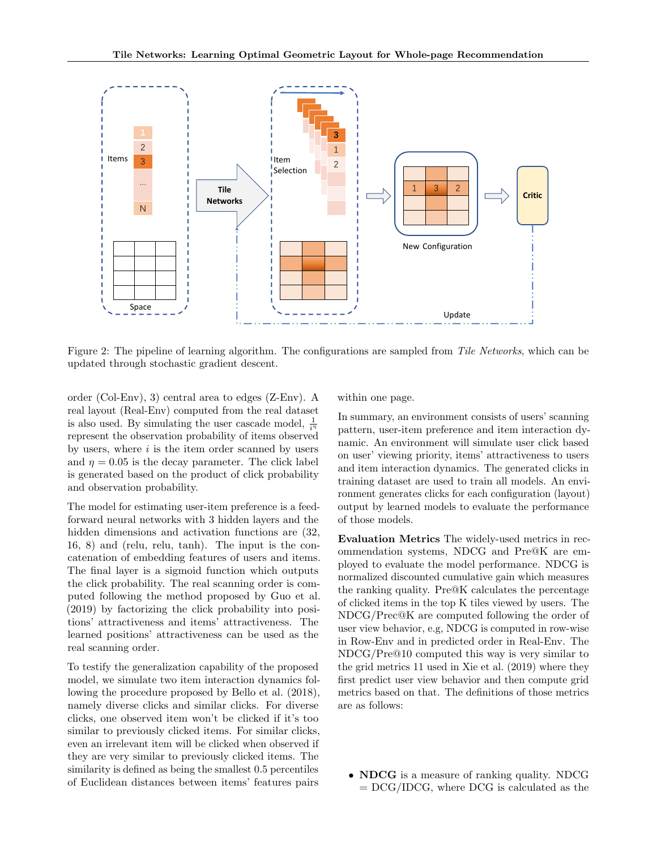

Figure 2: The pipeline of learning algorithm. The configurations are sampled from Tile Networks, which can be updated through stochastic gradient descent.

order (Col-Env), 3) central area to edges (Z-Env). A real layout (Real-Env) computed from the real dataset is also used. By simulating the user cascade model,  $\frac{1}{i^n}$ represent the observation probability of items observed by users, where  $i$  is the item order scanned by users and  $\eta = 0.05$  is the decay parameter. The click label is generated based on the product of click probability and observation probability.

The model for estimating user-item preference is a feedforward neural networks with 3 hidden layers and the hidden dimensions and activation functions are (32, 16, 8) and (relu, relu, tanh). The input is the concatenation of embedding features of users and items. The final layer is a sigmoid function which outputs the click probability. The real scanning order is computed following the method proposed by Guo et al. (2019) by factorizing the click probability into positions' attractiveness and items' attractiveness. The learned positions' attractiveness can be used as the real scanning order.

To testify the generalization capability of the proposed model, we simulate two item interaction dynamics following the procedure proposed by Bello et al. (2018), namely diverse clicks and similar clicks. For diverse clicks, one observed item won't be clicked if it's too similar to previously clicked items. For similar clicks, even an irrelevant item will be clicked when observed if they are very similar to previously clicked items. The similarity is defined as being the smallest 0.5 percentiles of Euclidean distances between items' features pairs within one page.

In summary, an environment consists of users' scanning pattern, user-item preference and item interaction dynamic. An environment will simulate user click based on user' viewing priority, items' attractiveness to users and item interaction dynamics. The generated clicks in training dataset are used to train all models. An environment generates clicks for each configuration (layout) output by learned models to evaluate the performance of those models.

Evaluation Metrics The widely-used metrics in recommendation systems, NDCG and Pre@K are employed to evaluate the model performance. NDCG is normalized discounted cumulative gain which measures the ranking quality. Pre@K calculates the percentage of clicked items in the top K tiles viewed by users. The NDCG/Prec@K are computed following the order of user view behavior, e.g, NDCG is computed in row-wise in Row-Env and in predicted order in Real-Env. The NDCG/Pre@10 computed this way is very similar to the grid metrics 11 used in Xie et al. (2019) where they first predict user view behavior and then compute grid metrics based on that. The definitions of those metrics are as follows:

• **NDCG** is a measure of ranking quality. NDCG  $=$  DCG/IDCG, where DCG is calculated as the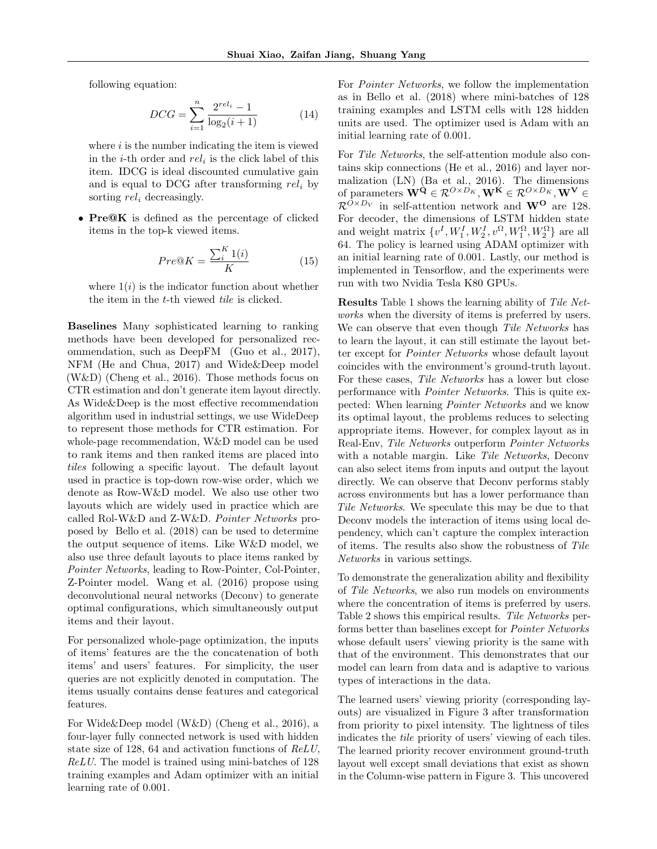following equation:

$$
DCG = \sum_{i=1}^{n} \frac{2^{rel_i} - 1}{\log_2(i+1)}
$$
(14)

where  $i$  is the number indicating the item is viewed in the *i*-th order and  $rel_i$  is the click label of this item. IDCG is ideal discounted cumulative gain and is equal to DCG after transforming  $rel_i$  by sorting  $rel_i$  decreasingly.

• Pre $@K$  is defined as the percentage of clicked items in the top-k viewed items.

$$
Pre@K = \frac{\sum_{i=1}^{K} (i)}{K} \tag{15}
$$

where  $1(i)$  is the indicator function about whether the item in the t-th viewed tile is clicked.

Baselines Many sophisticated learning to ranking methods have been developed for personalized recommendation, such as DeepFM (Guo et al., 2017), NFM (He and Chua, 2017) and Wide&Deep model (W&D) (Cheng et al., 2016). Those methods focus on CTR estimation and don't generate item layout directly. As Wide&Deep is the most effective recommendation algorithm used in industrial settings, we use WideDeep to represent those methods for CTR estimation. For whole-page recommendation, W&D model can be used to rank items and then ranked items are placed into tiles following a specific layout. The default layout used in practice is top-down row-wise order, which we denote as Row-W&D model. We also use other two layouts which are widely used in practice which are called Rol-W&D and Z-W&D. Pointer Networks proposed by Bello et al. (2018) can be used to determine the output sequence of items. Like W&D model, we also use three default layouts to place items ranked by Pointer Networks, leading to Row-Pointer, Col-Pointer, Z-Pointer model. Wang et al. (2016) propose using deconvolutional neural networks (Deconv) to generate optimal configurations, which simultaneously output items and their layout.

For personalized whole-page optimization, the inputs of items' features are the the concatenation of both items' and users' features. For simplicity, the user queries are not explicitly denoted in computation. The items usually contains dense features and categorical features.

For Wide&Deep model (W&D) (Cheng et al., 2016), a four-layer fully connected network is used with hidden state size of 128, 64 and activation functions of ReLU, ReLU. The model is trained using mini-batches of 128 training examples and Adam optimizer with an initial learning rate of 0.001.

For Pointer Networks, we follow the implementation as in Bello et al. (2018) where mini-batches of 128 training examples and LSTM cells with 128 hidden units are used. The optimizer used is Adam with an initial learning rate of 0.001.

For Tile Networks, the self-attention module also contains skip connections (He et al., 2016) and layer normalization (LN) (Ba et al., 2016). The dimensions of parameters  $\mathbf{W}^{\mathbf{Q}} \in \mathcal{R}^{O \times D_K}, \mathbf{W}^{\mathbf{K}} \in \mathcal{R}^{O \times D_K}, \mathbf{W}^{\mathbf{V}} \in$  $\mathcal{R}^{\tilde{O} \times D_V}$  in self-attention network and  $\mathbf{W}^{\mathbf{O}}$  are 128. For decoder, the dimensions of LSTM hidden state and weight matrix  $\{v^I, W_1^I, W_2^I, v^{\Omega}, W_1^{\Omega}, W_2^{\Omega}\}$  are all 64. The policy is learned using ADAM optimizer with an initial learning rate of 0.001. Lastly, our method is implemented in Tensorflow, and the experiments were run with two Nvidia Tesla K80 GPUs.

Results Table 1 shows the learning ability of Tile Networks when the diversity of items is preferred by users. We can observe that even though Tile Networks has to learn the layout, it can still estimate the layout better except for Pointer Networks whose default layout coincides with the environment's ground-truth layout. For these cases, Tile Networks has a lower but close performance with Pointer Networks. This is quite expected: When learning Pointer Networks and we know its optimal layout, the problems reduces to selecting appropriate items. However, for complex layout as in Real-Env, Tile Networks outperform Pointer Networks with a notable margin. Like Tile Networks, Deconv can also select items from inputs and output the layout directly. We can observe that Deconv performs stably across environments but has a lower performance than Tile Networks. We speculate this may be due to that Deconv models the interaction of items using local dependency, which can't capture the complex interaction of items. The results also show the robustness of Tile Networks in various settings.

To demonstrate the generalization ability and flexibility of Tile Networks, we also run models on environments where the concentration of items is preferred by users. Table 2 shows this empirical results. Tile Networks performs better than baselines except for Pointer Networks whose default users' viewing priority is the same with that of the environment. This demonstrates that our model can learn from data and is adaptive to various types of interactions in the data.

The learned users' viewing priority (corresponding layouts) are visualized in Figure 3 after transformation from priority to pixel intensity. The lightness of tiles indicates the tile priority of users' viewing of each tiles. The learned priority recover environment ground-truth layout well except small deviations that exist as shown in the Column-wise pattern in Figure 3. This uncovered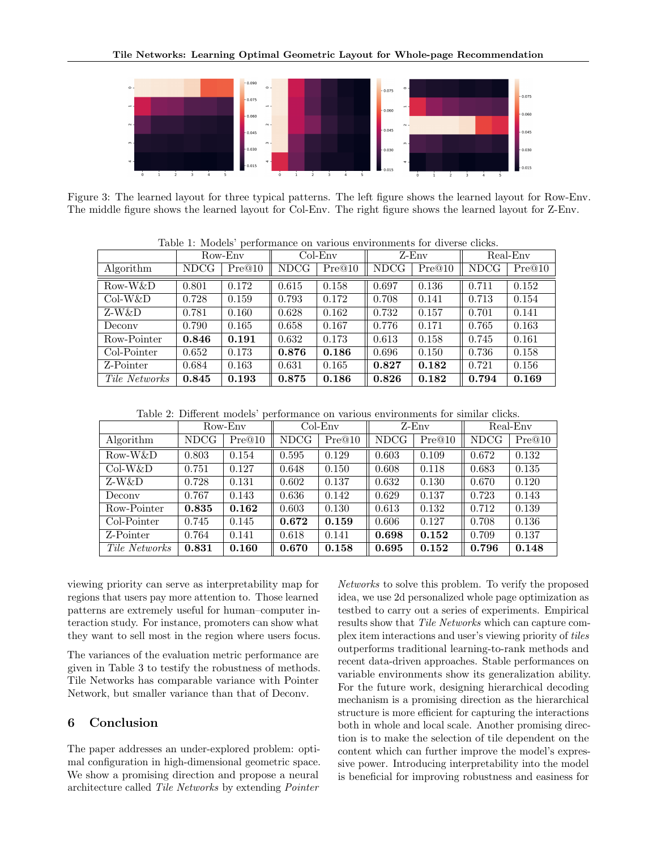

Figure 3: The learned layout for three typical patterns. The left figure shows the learned layout for Row-Env. The middle figure shows the learned layout for Col-Env. The right figure shows the learned layout for Z-Env.

| Table 1. Models performance on various chviromiches for diverse cheas. |             |        |             |        |             |        |             |        |  |
|------------------------------------------------------------------------|-------------|--------|-------------|--------|-------------|--------|-------------|--------|--|
|                                                                        | Row-Env     |        | $Col-Env$   |        | $Z$ -Env    |        | Real-Env    |        |  |
| Algorithm                                                              | <b>NDCG</b> | Pre@10 | <b>NDCG</b> | Pre@10 | <b>NDCG</b> | Pre@10 | <b>NDCG</b> | Pre@10 |  |
| Row-W&D                                                                | 0.801       | 0.172  | 0.615       | 0.158  | 0.697       | 0.136  | 0.711       | 0.152  |  |
| $Col-W&D$                                                              | 0.728       | 0.159  | 0.793       | 0.172  | 0.708       | 0.141  | 0.713       | 0.154  |  |
| Z-W&D                                                                  | 0.781       | 0.160  | 0.628       | 0.162  | 0.732       | 0.157  | 0.701       | 0.141  |  |
| Deconv                                                                 | 0.790       | 0.165  | 0.658       | 0.167  | 0.776       | 0.171  | 0.765       | 0.163  |  |
| Row-Pointer                                                            | 0.846       | 0.191  | 0.632       | 0.173  | 0.613       | 0.158  | 0.745       | 0.161  |  |
| Col-Pointer                                                            | 0.652       | 0.173  | 0.876       | 0.186  | 0.696       | 0.150  | 0.736       | 0.158  |  |
| Z-Pointer                                                              | 0.684       | 0.163  | 0.631       | 0.165  | 0.827       | 0.182  | 0.721       | 0.156  |  |
| Tile Networks                                                          | 0.845       | 0.193  | 0.875       | 0.186  | 0.826       | 0.182  | 0.794       | 0.169  |  |

Table 1: Models' performance on various environments for diverse clicks.

Table 2: Different models' performance on various environments for similar clicks.

|               | Row-Env     |        | $Col-Env$  |        | Z-Env |        | Real-Env    |        |
|---------------|-------------|--------|------------|--------|-------|--------|-------------|--------|
| Algorithm     | <b>NDCG</b> | Pre@10 | $\rm NDCG$ | Pre@10 | NDCG  | Pre@10 | <b>NDCG</b> | Pre@10 |
| Row-W&D       | 0.803       | 0.154  | 0.595      | 0.129  | 0.603 | 0.109  | 0.672       | 0.132  |
| $Col-W&D$     | 0.751       | 0.127  | 0.648      | 0.150  | 0.608 | 0.118  | 0.683       | 0.135  |
| Z-W&D         | 0.728       | 0.131  | 0.602      | 0.137  | 0.632 | 0.130  | 0.670       | 0.120  |
| Deconv        | 0.767       | 0.143  | 0.636      | 0.142  | 0.629 | 0.137  | 0.723       | 0.143  |
| Row-Pointer   | 0.835       | 0.162  | 0.603      | 0.130  | 0.613 | 0.132  | 0.712       | 0.139  |
| Col-Pointer   | 0.745       | 0.145  | 0.672      | 0.159  | 0.606 | 0.127  | 0.708       | 0.136  |
| Z-Pointer     | 0.764       | 0.141  | 0.618      | 0.141  | 0.698 | 0.152  | 0.709       | 0.137  |
| Tile Networks | 0.831       | 0.160  | 0.670      | 0.158  | 0.695 | 0.152  | 0.796       | 0.148  |

viewing priority can serve as interpretability map for regions that users pay more attention to. Those learned patterns are extremely useful for human–computer interaction study. For instance, promoters can show what they want to sell most in the region where users focus.

The variances of the evaluation metric performance are given in Table 3 to testify the robustness of methods. Tile Networks has comparable variance with Pointer Network, but smaller variance than that of Deconv.

# 6 Conclusion

The paper addresses an under-explored problem: optimal configuration in high-dimensional geometric space. We show a promising direction and propose a neural architecture called Tile Networks by extending Pointer

Networks to solve this problem. To verify the proposed idea, we use 2d personalized whole page optimization as testbed to carry out a series of experiments. Empirical results show that Tile Networks which can capture complex item interactions and user's viewing priority of tiles outperforms traditional learning-to-rank methods and recent data-driven approaches. Stable performances on variable environments show its generalization ability. For the future work, designing hierarchical decoding mechanism is a promising direction as the hierarchical structure is more efficient for capturing the interactions both in whole and local scale. Another promising direction is to make the selection of tile dependent on the content which can further improve the model's expressive power. Introducing interpretability into the model is beneficial for improving robustness and easiness for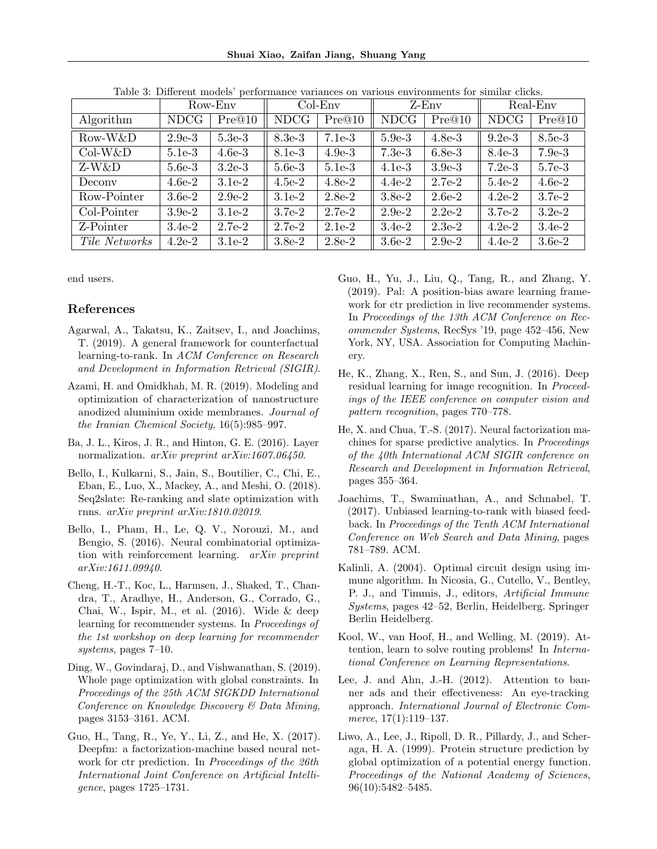Shuai Xiao, Zaifan Jiang, Shuang Yang

|               | Row-Env     |          | $Col-Env$ |          | Z-Env       |          | Real-Env    |          |
|---------------|-------------|----------|-----------|----------|-------------|----------|-------------|----------|
| Algorithm     | <b>NDCG</b> | Pre@10   | NDCG      | Pre@10   | <b>NDCG</b> | Pre@10   | <b>NDCG</b> | Pre@10   |
| Row-W&D       | $2.9e-3$    | $5.3e-3$ | $8.3e-3$  | $7.1e-3$ | $5.9e-3$    | $4.8e-3$ | $9.2e-3$    | 8.5e-3   |
| $Col-W&D$     | $5.1e-3$    | $4.6e-3$ | 8.1e-3    | $4.9e-3$ | $7.3e-3$    | $6.8e-3$ | $8.4e-3$    | $7.9e-3$ |
| Z-W&D         | $5.6e-3$    | $3.2e-3$ | $5.6e-3$  | $5.1e-3$ | $4.1e-3$    | $3.9e-3$ | $7.2e-3$    | $5.7e-3$ |
| Deconv        | $4.6e-2$    | $3.1e-2$ | $4.5e-2$  | $4.8e-2$ | $4.4e-2$    | $2.7e-2$ | $5.4e-2$    | $4.6e-2$ |
| Row-Pointer   | $3.6e-2$    | $2.9e-2$ | $3.1e-2$  | $2.8e-2$ | $3.8e-2$    | $2.6e-2$ | $4.2e-2$    | $3.7e-2$ |
| Col-Pointer   | $3.9e-2$    | $3.1e-2$ | $3.7e-2$  | $2.7e-2$ | $2.9e-2$    | $2.2e-2$ | $3.7e-2$    | $3.2e-2$ |
| Z-Pointer     | $3.4e-2$    | $2.7e-2$ | $2.7e-2$  | $2.1e-2$ | $3.4e-2$    | $2.3e-2$ | $4.2e-2$    | $3.4e-2$ |
| Tile Networks | $4.2e-2$    | $3.1e-2$ | $3.8e-2$  | $2.8e-2$ | $3.6e-2$    | $2.9e-2$ | $4.4e-2$    | $3.6e-2$ |

Table 3: Different models' performance variances on various environments for similar clicks.

end users.

# References

- Agarwal, A., Takatsu, K., Zaitsev, I., and Joachims, T. (2019). A general framework for counterfactual learning-to-rank. In ACM Conference on Research and Development in Information Retrieval (SIGIR).
- Azami, H. and Omidkhah, M. R. (2019). Modeling and optimization of characterization of nanostructure anodized aluminium oxide membranes. Journal of the Iranian Chemical Society, 16(5):985–997.
- Ba, J. L., Kiros, J. R., and Hinton, G. E. (2016). Layer normalization. *arXiv preprint arXiv:1607.06450*.
- Bello, I., Kulkarni, S., Jain, S., Boutilier, C., Chi, E., Eban, E., Luo, X., Mackey, A., and Meshi, O. (2018). Seq2slate: Re-ranking and slate optimization with rnns. arXiv preprint arXiv:1810.02019.
- Bello, I., Pham, H., Le, Q. V., Norouzi, M., and Bengio, S. (2016). Neural combinatorial optimization with reinforcement learning. arXiv preprint arXiv:1611.09940.
- Cheng, H.-T., Koc, L., Harmsen, J., Shaked, T., Chandra, T., Aradhye, H., Anderson, G., Corrado, G., Chai, W., Ispir, M., et al. (2016). Wide & deep learning for recommender systems. In Proceedings of the 1st workshop on deep learning for recommender systems, pages 7–10.
- Ding, W., Govindaraj, D., and Vishwanathan, S. (2019). Whole page optimization with global constraints. In Proceedings of the 25th ACM SIGKDD International Conference on Knowledge Discovery & Data Mining, pages 3153–3161. ACM.
- Guo, H., Tang, R., Ye, Y., Li, Z., and He, X. (2017). Deepfm: a factorization-machine based neural network for ctr prediction. In Proceedings of the 26th International Joint Conference on Artificial Intelligence, pages 1725–1731.
- Guo, H., Yu, J., Liu, Q., Tang, R., and Zhang, Y. (2019). Pal: A position-bias aware learning framework for ctr prediction in live recommender systems. In Proceedings of the 13th ACM Conference on Recommender Systems, RecSys '19, page 452–456, New York, NY, USA. Association for Computing Machinery.
- He, K., Zhang, X., Ren, S., and Sun, J. (2016). Deep residual learning for image recognition. In Proceedings of the IEEE conference on computer vision and pattern recognition, pages 770–778.
- He, X. and Chua, T.-S. (2017). Neural factorization machines for sparse predictive analytics. In Proceedings of the 40th International ACM SIGIR conference on Research and Development in Information Retrieval, pages 355–364.
- Joachims, T., Swaminathan, A., and Schnabel, T. (2017). Unbiased learning-to-rank with biased feedback. In Proceedings of the Tenth ACM International Conference on Web Search and Data Mining, pages 781–789. ACM.
- Kalinli, A. (2004). Optimal circuit design using immune algorithm. In Nicosia, G., Cutello, V., Bentley, P. J., and Timmis, J., editors, Artificial Immune Systems, pages 42–52, Berlin, Heidelberg. Springer Berlin Heidelberg.
- Kool, W., van Hoof, H., and Welling, M. (2019). Attention, learn to solve routing problems! In International Conference on Learning Representations.
- Lee, J. and Ahn, J.-H. (2012). Attention to banner ads and their effectiveness: An eye-tracking approach. International Journal of Electronic Commerce, 17(1):119–137.
- Liwo, A., Lee, J., Ripoll, D. R., Pillardy, J., and Scheraga, H. A. (1999). Protein structure prediction by global optimization of a potential energy function. Proceedings of the National Academy of Sciences, 96(10):5482–5485.